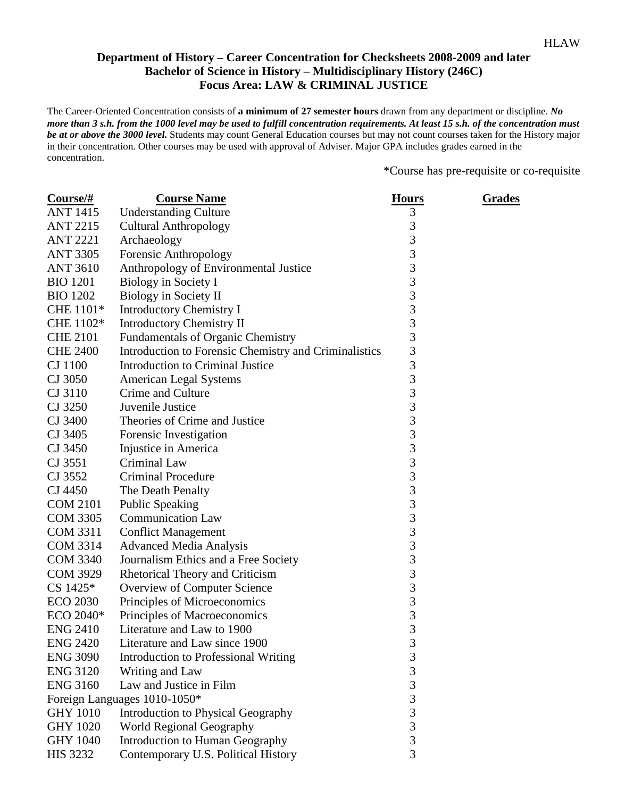## **Department of History – Career Concentration for Checksheets 2008-2009 and later Bachelor of Science in History – Multidisciplinary History (246C) Focus Area: LAW & CRIMINAL JUSTICE**

The Career-Oriented Concentration consists of **a minimum of 27 semester hours** drawn from any department or discipline. *No more than 3 s.h. from the 1000 level may be used to fulfill concentration requirements. At least 15 s.h. of the concentration must be at or above the 3000 level.* Students may count General Education courses but may not count courses taken for the History major in their concentration. Other courses may be used with approval of Adviser. Major GPA includes grades earned in the concentration.

\*Course has pre-requisite or co-requisite

| Course/#        | <b>Course Name</b>                                    | <b>Hours</b>   | <b>Grades</b> |
|-----------------|-------------------------------------------------------|----------------|---------------|
| <b>ANT 1415</b> | <b>Understanding Culture</b>                          | 3              |               |
| <b>ANT 2215</b> | <b>Cultural Anthropology</b>                          | 3              |               |
| <b>ANT 2221</b> | Archaeology                                           | 3              |               |
| <b>ANT 3305</b> | Forensic Anthropology                                 | $\overline{3}$ |               |
| <b>ANT 3610</b> | Anthropology of Environmental Justice                 | 3              |               |
| <b>BIO 1201</b> | Biology in Society I                                  | 3              |               |
| <b>BIO 1202</b> | Biology in Society II                                 | 3              |               |
| CHE 1101*       | <b>Introductory Chemistry I</b>                       | 3              |               |
| CHE 1102*       | <b>Introductory Chemistry II</b>                      | 3              |               |
| <b>CHE 2101</b> | <b>Fundamentals of Organic Chemistry</b>              | $\overline{3}$ |               |
| <b>CHE 2400</b> | Introduction to Forensic Chemistry and Criminalistics | $\overline{3}$ |               |
| CJ 1100         | Introduction to Criminal Justice                      | 3              |               |
| CJ 3050         | <b>American Legal Systems</b>                         | 3              |               |
| CJ 3110         | Crime and Culture                                     | 3              |               |
| CJ 3250         | Juvenile Justice                                      | 3              |               |
| CJ 3400         | Theories of Crime and Justice                         | 3              |               |
| CJ 3405         | Forensic Investigation                                | 3              |               |
| CJ 3450         | Injustice in America                                  | 3              |               |
| CJ 3551         | <b>Criminal Law</b>                                   | 3              |               |
| CJ 3552         | <b>Criminal Procedure</b>                             | 3              |               |
| CJ 4450         | The Death Penalty                                     | 3              |               |
| <b>COM 2101</b> | <b>Public Speaking</b>                                | 3              |               |
| <b>COM 3305</b> | <b>Communication Law</b>                              | 3              |               |
| <b>COM 3311</b> | <b>Conflict Management</b>                            | 3              |               |
| <b>COM 3314</b> | <b>Advanced Media Analysis</b>                        | 3              |               |
| <b>COM 3340</b> | Journalism Ethics and a Free Society                  | 3              |               |
| <b>COM 3929</b> | <b>Rhetorical Theory and Criticism</b>                | 3              |               |
| CS 1425*        | Overview of Computer Science                          | 3              |               |
| <b>ECO 2030</b> | Principles of Microeconomics                          | 3              |               |
| ECO 2040*       | Principles of Macroeconomics                          | 3              |               |
| <b>ENG 2410</b> | Literature and Law to 1900                            | 3              |               |
| <b>ENG 2420</b> | Literature and Law since 1900                         | $\mathfrak{Z}$ |               |
| <b>ENG 3090</b> | <b>Introduction to Professional Writing</b>           | 3              |               |
| <b>ENG 3120</b> | Writing and Law                                       | $\overline{3}$ |               |
| <b>ENG 3160</b> | Law and Justice in Film                               | 3              |               |
|                 | Foreign Languages 1010-1050*                          | 3              |               |
| <b>GHY 1010</b> | Introduction to Physical Geography                    | 3              |               |
| <b>GHY 1020</b> | World Regional Geography                              | $\overline{3}$ |               |
| <b>GHY 1040</b> | Introduction to Human Geography                       | 3              |               |
| <b>HIS 3232</b> | Contemporary U.S. Political History                   | 3              |               |